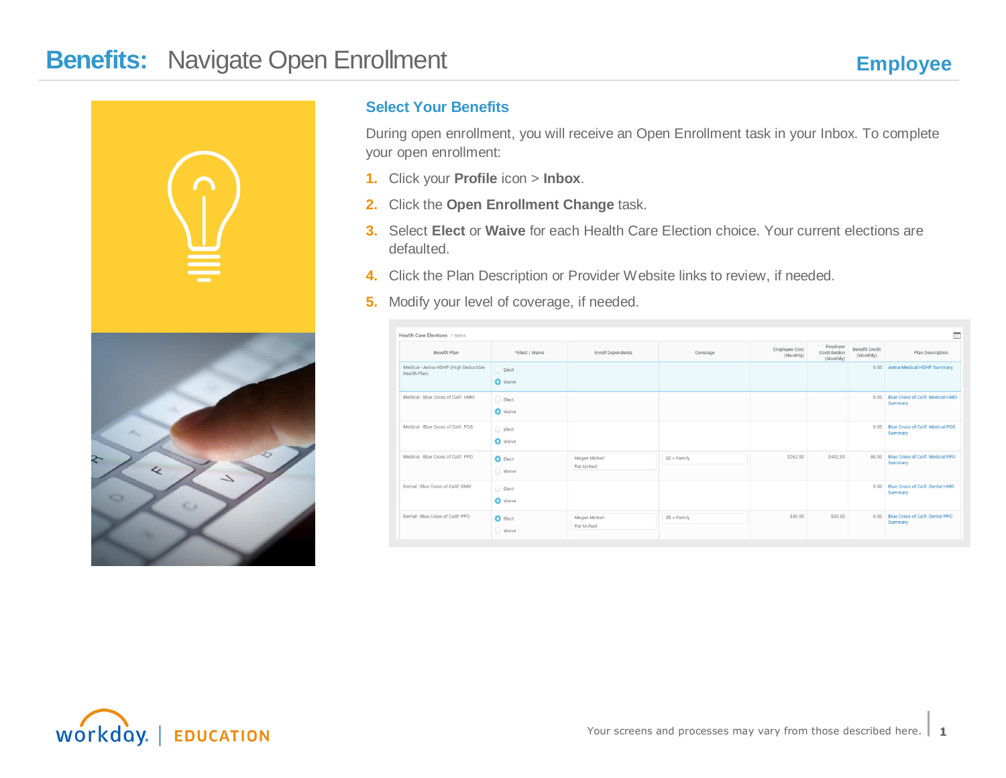

### **Select Your Benefits**

During open enrollment, you will receive an Open Enrollment task in your Inbox. To complete your open enrollment:

- **1.** Click your **Profile** icon > **Inbox**.
- **2.** Click the **Open Enrollment Change** task.
- **3.** Select **Elect** or **Waive** for each Health Care Election choice. Your current elections are defaulted.
- **4.** Click the Plan Description or Provider Website links to review, if needed.
- **5.** Modify your level of coverage, if needed.

| $\blacksquare$<br>Health Care Elections 7 items       |                                    |                            |             |                            |                                       |                                    |                                                    |  |  |  |
|-------------------------------------------------------|------------------------------------|----------------------------|-------------|----------------------------|---------------------------------------|------------------------------------|----------------------------------------------------|--|--|--|
| Benefit Plan                                          | *Elect / Waive                     | <b>Enroll Dependents</b>   | Coverage    | Employee Cost<br>(Monthly) | Employer<br>Contribution<br>(Monthly) | <b>Benefit Credit</b><br>(Monthly) | Plan Description                                   |  |  |  |
| Medical - Aetna HDHP (High Deductible<br>Health Plan) | Elect<br><b>O</b> Waive            |                            |             |                            |                                       | 0.00                               | Aetna Medical HDHP Summary                         |  |  |  |
| Medical - Blue Cross of Calif. HMO                    | Elect<br><b>O</b> Waive            |                            |             |                            |                                       | 0.00                               | <b>Blue Cross of Calif. Medical HMO</b><br>Summary |  |  |  |
| Medical - Blue Cross of Calif. POS                    | $\bigcirc$ Elect<br><b>O</b> Waive |                            |             |                            |                                       | 0.00                               | Blue Cross of Calif. Medical POS<br>Summary        |  |  |  |
| Medical - Blue Cross of Calif. PPO                    | $\bullet$ Elect<br>Waive           | Megan McNeil<br>Pat McNeil | EE + Family | \$262.00                   | \$432.00                              | 80.00                              | Blue Cross of Calif. Medical PPO<br>Summary        |  |  |  |
| Dental - Blue Cross of Calif. DMO                     | Elect<br><b>O</b> Waive            |                            |             |                            |                                       | 0.00                               | Blue Cross of Calif. Dental HMO<br>Summary         |  |  |  |
| Dental - Blue Cross of Calif. PPO                     | $\bullet$ Elect<br>◯ Waive         | Megan McNeil<br>Pat McNeil | EE + Family | \$30.00                    | \$35.00                               | 0.00                               | Blue Cross of Calif. Dental PPO<br>Summary         |  |  |  |

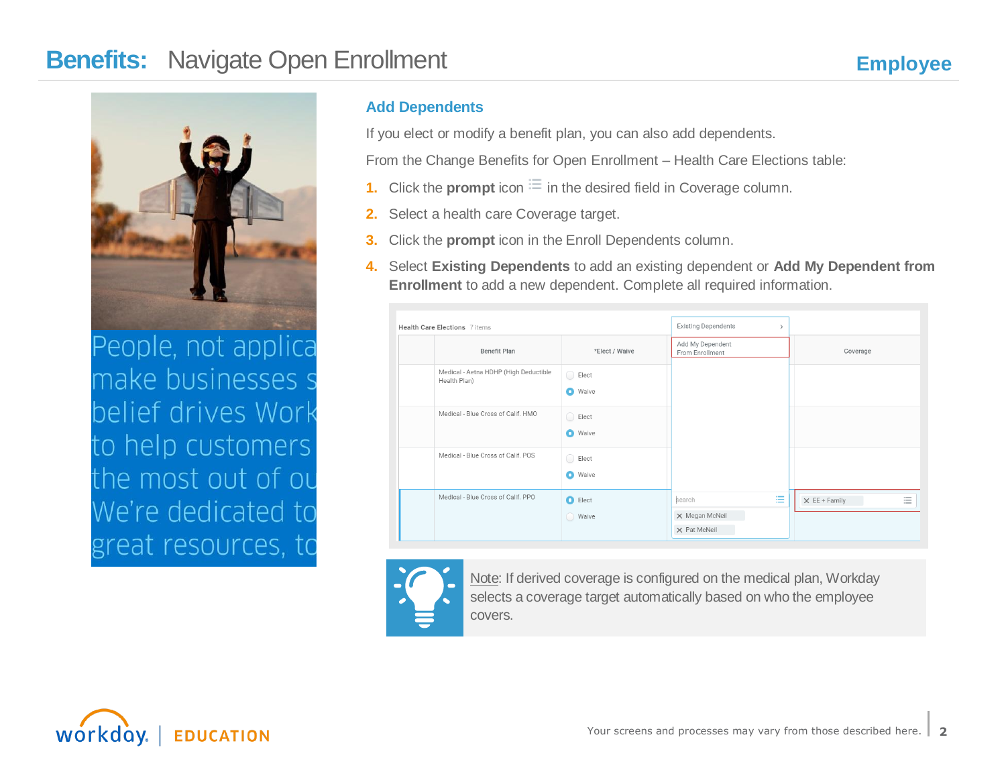

People, not applica make businesses s belief drives Work to help customers the most out of ou We're dedicated to great resources, to

### **Add Dependents**

If you elect or modify a benefit plan, you can also add dependents.

From the Change Benefits for Open Enrollment – Health Care Elections table:

- **1.** Click the **prompt** icon  $\equiv$  in the desired field in Coverage column.
- **2.** Select a health care Coverage target.
- **3.** Click the **prompt** icon in the Enroll Dependents column.
- **4.** Select **Existing Dependents** to add an existing dependent or **Add My Dependent from Enrollment** to add a new dependent. Complete all required information.

| Health Care Elections 7 items                         |                                    | <b>Existing Dependents</b><br>$\rightarrow$   |                                                                                                          |  |  |
|-------------------------------------------------------|------------------------------------|-----------------------------------------------|----------------------------------------------------------------------------------------------------------|--|--|
| Benefit Plan                                          | *Elect / Waive                     | Add My Dependent<br>From Enrollment           | Coverage                                                                                                 |  |  |
| Medical - Aetna HDHP (High Deductible<br>Health Plan) | $\bigcirc$ Elect<br><b>O</b> Waive |                                               |                                                                                                          |  |  |
| Medical - Blue Cross of Calif. HMO                    | $\bigcirc$ Elect<br><b>O</b> Waive |                                               |                                                                                                          |  |  |
| Medical - Blue Cross of Calif. POS                    | $\bigcirc$ Elect<br><b>O</b> Waive |                                               |                                                                                                          |  |  |
| Medical - Blue Cross of Calif. PPO                    | $\bullet$ Elect<br>◯ Waive         | 注<br>search<br>X Megan McNeil<br>X Pat McNeil | $\overline{\phantom{a}}$<br>$\times$ EE + Family<br>$\overline{\phantom{a}}$<br>$\overline{\phantom{a}}$ |  |  |



Note: If derived coverage is configured on the medical plan, Workday selects a coverage target automatically based on who the employee covers.

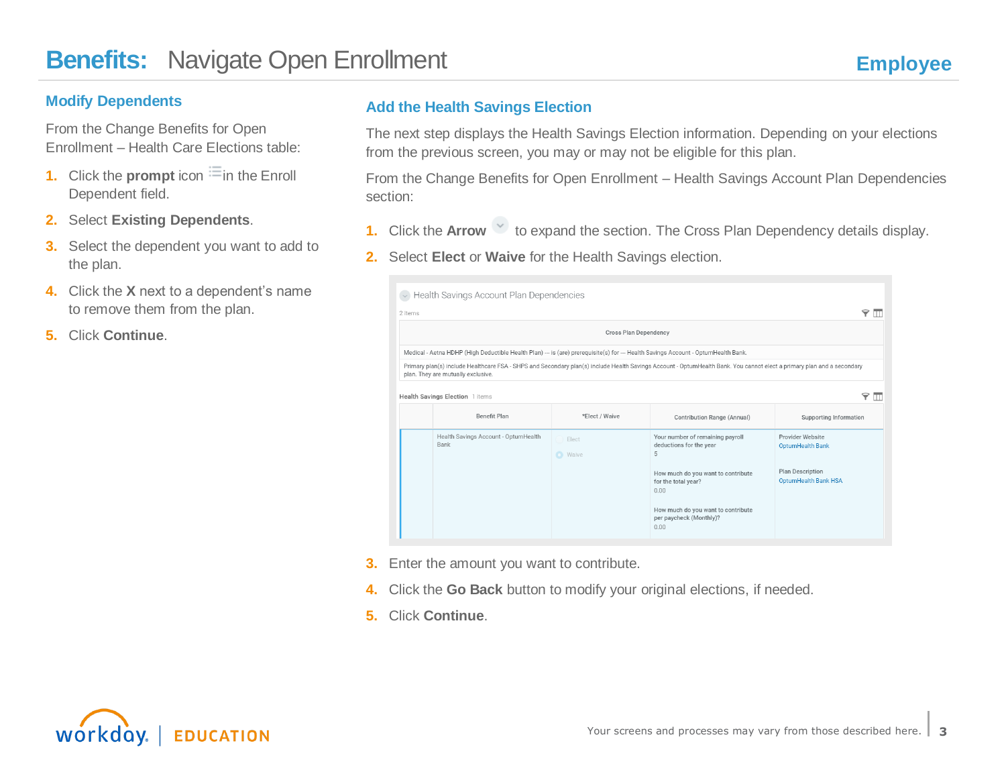#### **Modify Dependents**

From the Change Benefits for Open Enrollment – Health Care Elections table:

- **1.** Click the **prompt** icon  $\equiv$  in the Enroll Dependent field.
- **2.** Select **Existing Dependents**.
- **3.** Select the dependent you want to add to the plan.
- **4.** Click the **X** next to a dependent's name to remove them from the plan.
- **5.** Click **Continue**.

### **Add the Health Savings Election**

The next step displays the Health Savings Election information. Depending on your elections from the previous screen, you may or may not be eligible for this plan.

From the Change Benefits for Open Enrollment – Health Savings Account Plan Dependencies section:

- **1.** Click the **Arrow** to expand the section. The Cross Plan Dependency details display.
- **2.** Select **Elect** or **Waive** for the Health Savings election.

| 2 items                                                                                                                            |                                                                                                       |                         |                                                                                                                                                                        |                                                        |  |  |  |  |  |
|------------------------------------------------------------------------------------------------------------------------------------|-------------------------------------------------------------------------------------------------------|-------------------------|------------------------------------------------------------------------------------------------------------------------------------------------------------------------|--------------------------------------------------------|--|--|--|--|--|
| <b>Cross Plan Dependency</b>                                                                                                       |                                                                                                       |                         |                                                                                                                                                                        |                                                        |  |  |  |  |  |
| Medical - Aetna HDHP (High Deductible Health Plan) --- is (are) prerequisite(s) for --- Health Savings Account - OptumHealth Bank. |                                                                                                       |                         |                                                                                                                                                                        |                                                        |  |  |  |  |  |
|                                                                                                                                    | plan. They are mutually exclusive.                                                                    |                         | Primary plan(s) include Healthcare FSA - SHPS and Secondary plan(s) include Health Savings Account - OptumHealth Bank. You cannot elect a primary plan and a secondary |                                                        |  |  |  |  |  |
|                                                                                                                                    |                                                                                                       |                         |                                                                                                                                                                        |                                                        |  |  |  |  |  |
|                                                                                                                                    | Health Savings Election 1 items                                                                       |                         |                                                                                                                                                                        |                                                        |  |  |  |  |  |
|                                                                                                                                    | <b>Benefit Plan</b><br>*Elect / Waive<br>Contribution Range (Annual)<br><b>Supporting Information</b> |                         |                                                                                                                                                                        |                                                        |  |  |  |  |  |
|                                                                                                                                    |                                                                                                       |                         |                                                                                                                                                                        |                                                        |  |  |  |  |  |
|                                                                                                                                    | Health Savings Account - OptumHealth<br>Bank                                                          | Elect<br><b>O</b> Waive | Your number of remaining payroll<br>deductions for the year<br>5                                                                                                       | Provider Website<br><b>OptumHealth Bank</b>            |  |  |  |  |  |
|                                                                                                                                    |                                                                                                       |                         | How much do you want to contribute<br>for the total year?<br>0.00                                                                                                      | <b>Plan Description</b><br><b>OptumHealth Bank HSA</b> |  |  |  |  |  |

- **3.** Enter the amount you want to contribute.
- **4.** Click the **Go Back** button to modify your original elections, if needed.
- **5.** Click **Continue**.

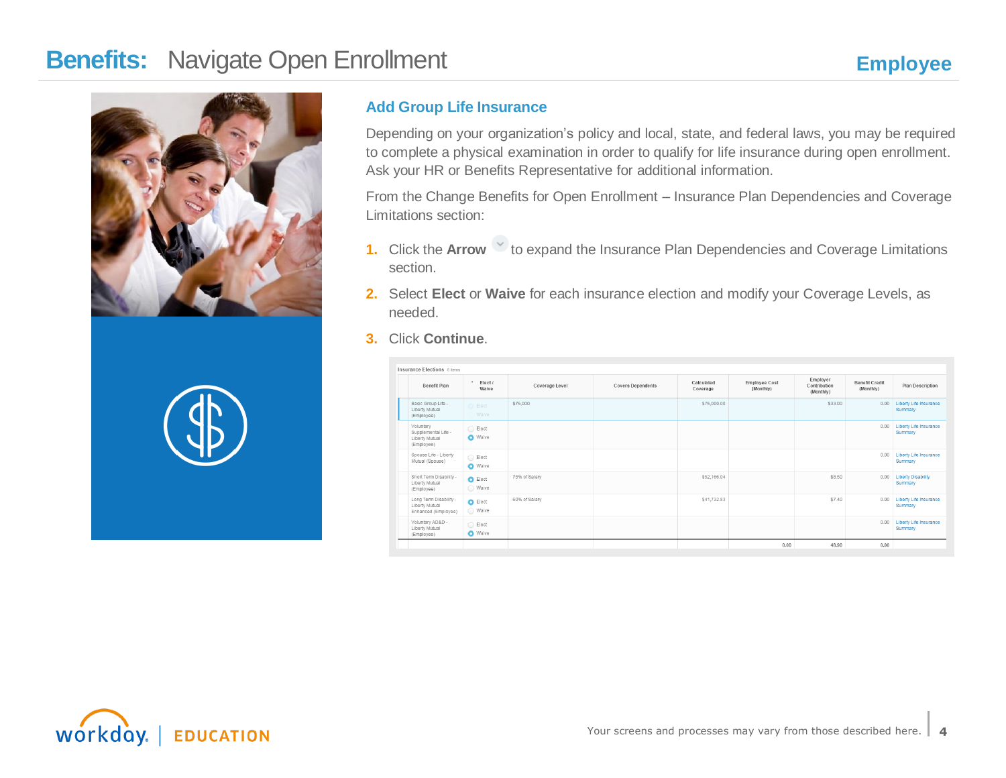



### **Add Group Life Insurance**

Depending on your organization's policy and local, state, and federal laws, you may be required to complete a physical examination in order to qualify for life insurance during open enrollment. Ask your HR or Benefits Representative for additional information.

From the Change Benefits for Open Enrollment – Insurance Plan Dependencies and Coverage Limitations section:

- **1.** Click the Arrow  $\vee$  to expand the Insurance Plan Dependencies and Coverage Limitations section.
- **2.** Select **Elect** or **Waive** for each insurance election and modify your Coverage Levels, as needed.
- **3.** Click **Continue**.

| <b>Insurance Elections 6 items</b>                               |                                       |                |                          |                        |                            |                                       |                                    |                                      |
|------------------------------------------------------------------|---------------------------------------|----------------|--------------------------|------------------------|----------------------------|---------------------------------------|------------------------------------|--------------------------------------|
| Benefit Plan                                                     | $\bullet$<br>Elect/<br>Waive          | Coverage Level | <b>Covers Dependents</b> | Calculated<br>Coverage | Employee Cost<br>(Monthly) | Employer<br>Contribution<br>(Monthly) | <b>Benefit Credit</b><br>(Monthly) | <b>Plan Description</b>              |
| Basic Group Life -<br>Liberty Mutual<br>(Employee)               | Elect<br>Waive                        | \$75,000       |                          | \$75,000.00            |                            | \$33.00                               | 0.00                               | Liberty Life Insurance<br>Summary    |
| Voluntary<br>Supplemental Life -<br>Liberty Mutual<br>(Employee) | $\bigcirc$ Elect<br><b>O</b> Waive    |                |                          |                        |                            |                                       | 0.00                               | Liberty Life Insurance<br>Summary    |
| Spouse Life - Liberty<br>Mutual (Spouse)                         | $\bigcirc$<br>Elect<br><b>O</b> Waive |                |                          |                        |                            |                                       | 0.00                               | Liberty Life Insurance<br>Summary    |
| Short Term Disability -<br>Liberty Mutual<br>(Employee)          | $\bigcirc$ Elect<br>◯ Waive           | 75% of Salary  |                          | \$52,166.04            |                            | \$8.50                                | 0.00                               | <b>Liberty Disability</b><br>Summary |
| Long Term Disability -<br>Liberty Mutual<br>Enhanced (Employee)  | $\bullet$ Elect<br>◯ Waive            | 60% of Salary  |                          | \$41,732.83            |                            | \$7.40                                | 0.00                               | Liberty Life Insurance<br>Summary    |
| Voluntary AD&D -<br>Liberty Mutual<br>(Employee)                 | Elect<br>Waive                        |                |                          |                        |                            |                                       | 0.00                               | Liberty Life Insurance<br>Summary    |
|                                                                  |                                       |                |                          |                        | 0.00                       | 48.90                                 | 0.00                               |                                      |

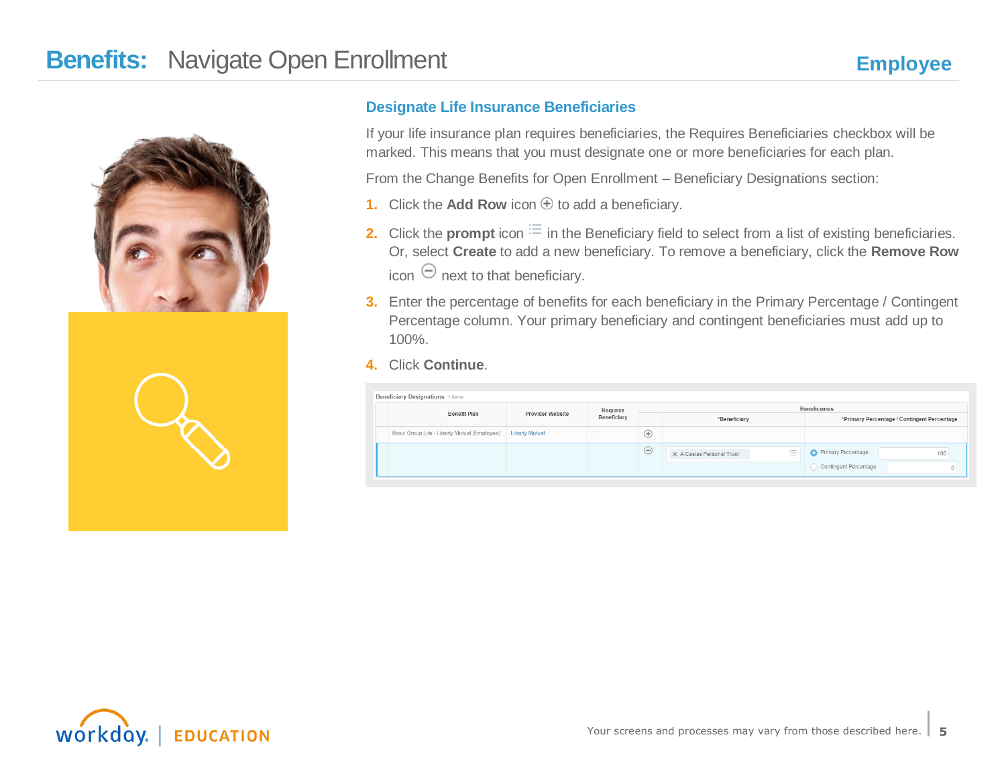

#### **Designate Life Insurance Beneficiaries**

If your life insurance plan requires beneficiaries, the Requires Beneficiaries checkbox will be marked. This means that you must designate one or more beneficiaries for each plan.

From the Change Benefits for Open Enrollment – Beneficiary Designations section:

- **1.** Click the **Add Row** icon  $\oplus$  to add a beneficiary.
- **2.** Click the **prompt** icon  $\equiv$  in the Beneficiary field to select from a list of existing beneficiaries. Or, select **Create** to add a new beneficiary. To remove a beneficiary, click the **Remove Row** icon  $\Theta$  next to that beneficiary.
- **3.** Enter the percentage of benefits for each beneficiary in the Primary Percentage / Contingent Percentage column. Your primary beneficiary and contingent beneficiaries must add up to 100%.
- **4.** Click **Continue**.

| Beneficiary Designations 1 items             |                       |          |               |                                                 |                                                    |  |  |  |
|----------------------------------------------|-----------------------|----------|---------------|-------------------------------------------------|----------------------------------------------------|--|--|--|
| Benefit Plan                                 | Provider Website      | Requires | Beneficiaries |                                                 |                                                    |  |  |  |
|                                              |                       |          |               | *Beneficiary                                    | *Primary Percentage / Contingent Percentage        |  |  |  |
| Basic Group Life - Liberty Mutual (Employee) | <b>Liberty Mutual</b> | - 11     | $\bigoplus$   |                                                 |                                                    |  |  |  |
|                                              |                       |          | $\odot$       | $\sim$<br>X A Casias Personal Trust<br>$\equiv$ | Primary Percentage<br>100<br>Contingent Percentage |  |  |  |

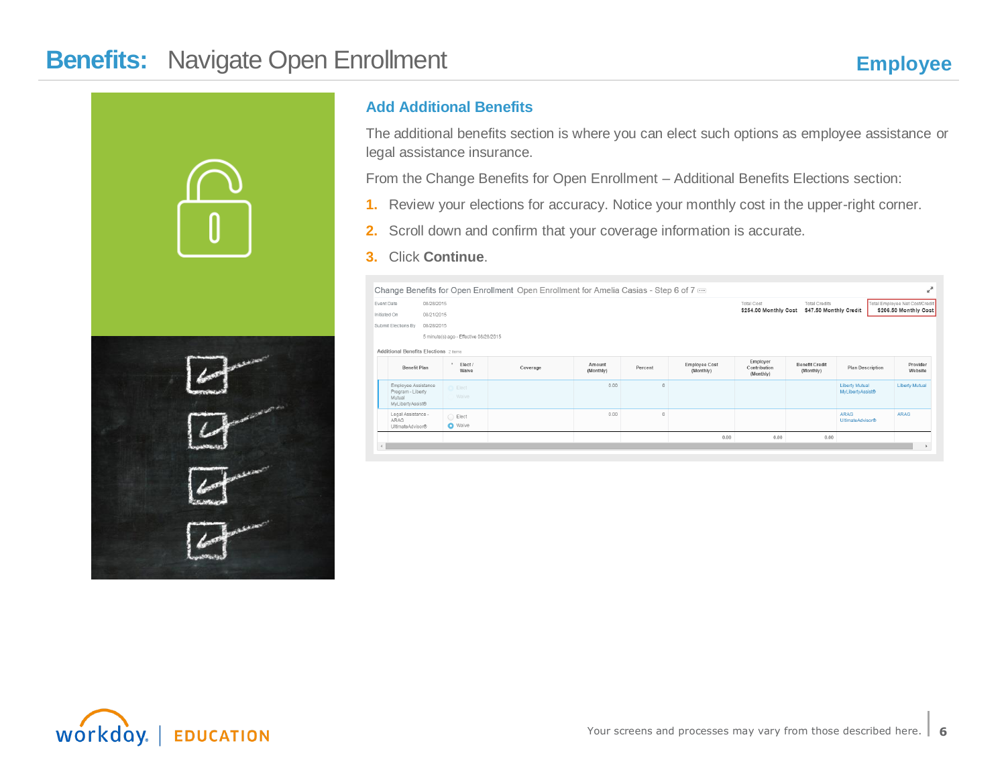



### **Add Additional Benefits**

The additional benefits section is where you can elect such options as employee assistance or legal assistance insurance.

From the Change Benefits for Open Enrollment – Additional Benefits Elections section:

- **1.** Review your elections for accuracy. Notice your monthly cost in the upper-right corner.
- **2.** Scroll down and confirm that your coverage information is accurate.
- **3.** Click **Continue**.

|                                   | v <sup>a</sup><br>Change Benefits for Open Enrollment Open Enrollment for Amelia Casias - Step 6 of 7 $\overline{}$ |                                          |          |                     |                                       |                            |                                       |                                    |                                           |                                |
|-----------------------------------|---------------------------------------------------------------------------------------------------------------------|------------------------------------------|----------|---------------------|---------------------------------------|----------------------------|---------------------------------------|------------------------------------|-------------------------------------------|--------------------------------|
| Event Date                        | 08/28/2015                                                                                                          |                                          |          |                     |                                       |                            | Total Cost                            | <b>Total Credits</b>               |                                           | Total Employee Net Cost/Credit |
| Initiated On                      | 08/21/2015                                                                                                          |                                          |          |                     |                                       |                            | \$254.00 Monthly Cost                 | \$47.50 Monthly Credit             |                                           | \$206.50 Monthly Cost          |
| 08/28/2015<br>Submit Elections By |                                                                                                                     |                                          |          |                     |                                       |                            |                                       |                                    |                                           |                                |
|                                   |                                                                                                                     | 5 minute(s) ago - Effective 08/28/2015   |          |                     |                                       |                            |                                       |                                    |                                           |                                |
|                                   | Additional Benefits Elections 2 items                                                                               |                                          |          |                     |                                       |                            |                                       |                                    |                                           |                                |
|                                   | <b>Benefit Plan</b>                                                                                                 | $\ddot{\phantom{1}}$<br>Elect /<br>Waive | Coverage | Amount<br>(Monthly) | Percent                               | Employee Cost<br>(Monthly) | Employer<br>Contribution<br>(Monthly) | <b>Benefit Credit</b><br>(Monthly) | <b>Plan Description</b>                   | Provider<br>Website            |
| Mutual                            | Employee Assistance<br>Program - Liberty<br>MyLibertyAssist®                                                        | Elect<br>Waive                           |          | 0.00                | $\begin{array}{c} 0 \\ 0 \end{array}$ |                            |                                       |                                    | <b>Liberty Mutual</b><br>MyLibertyAssist® | <b>Liberty Mutual</b>          |
| ARAG                              | Legal Assistance -<br>UltimateAdvisor®                                                                              | $\bigcirc$ Elect<br><b>O</b> Waive       |          | 0.00                | $\begin{array}{c} 0 \\ 0 \end{array}$ |                            |                                       |                                    | <b>ARAG</b><br>UltimateAdvisor®           | ARAG                           |
|                                   |                                                                                                                     |                                          |          |                     |                                       | 0.00                       | 0.00                                  | 0.00                               |                                           |                                |
|                                   |                                                                                                                     |                                          |          |                     |                                       |                            |                                       |                                    |                                           |                                |